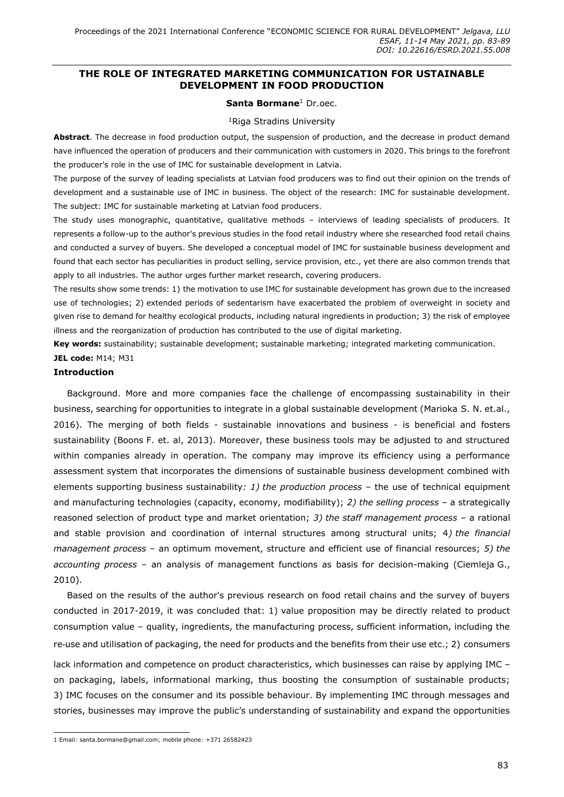# **THE ROLE OF INTEGRATED MARKETING COMMUNICATION FOR USTAINABLE DEVELOPMENT IN FOOD PRODUCTION**

### **Santa Bormane**<sup>1</sup> Dr.oec.

## <sup>1</sup>Riga Stradins University

<span id="page-0-0"></span>**Abstract**. The decrease in food production output, the suspension of production, and the decrease in product demand have influenced the operation of producers and their communication with customers in 2020. This brings to the forefront the producer's role in the use of IMC for sustainable development in Latvia.

The purpose of the survey of leading specialists at Latvian food producers was to find out their opinion on the trends of development and a sustainable use of IMC in business. The object of the research: IMC for sustainable development. The subject: IMC for sustainable marketing at Latvian food producers.

The study uses monographic, quantitative, qualitative methods – interviews of leading specialists of producers. It represents a follow-up to the author's previous studies in the food retail industry where she researched food retail chains and conducted a survey of buyers. She developed a conceptual model of IMC for sustainable business development and found that each sector has peculiarities in product selling, service provision, etc., yet there are also common trends that apply to all industries. The author urges further market research, covering producers.

The results show some trends: 1) the motivation to use IMC for sustainable development has grown due to the increased use of technologies; 2) extended periods of sedentarism have exacerbated the problem of overweight in society and given rise to demand for healthy ecological products, including natural ingredients in production; 3) the risk of employee illness and the reorganization of production has contributed to the use of digital marketing.

**Key words:** sustainability; sustainable development; sustainable marketing; integrated marketing communication. **JEL code:** M14; M31

## **Introduction**

Background. More and more companies face the challenge of encompassing sustainability in their business, searching for opportunities to integrate in a global sustainable development (Marioka S. N. et.al., 2016). The merging of both fields - sustainable innovations and business - is beneficial and fosters sustainability (Boons F. et. al, 2013). Moreover, these business tools may be adjusted to and structured within companies already in operation. The company may improve its efficiency using a performance assessment system that incorporates the dimensions of sustainable business development combined with elements supporting business sustainability*: 1) the production process* – the use of technical equipment and manufacturing technologies (capacity, economy, modifiability); *2) the selling process* – a strategically reasoned selection of product type and market orientation; *3) the staff management process* – a rational and stable provision and coordination of internal structures among structural units; 4*) the financial management process* – an optimum movement, structure and efficient use of financial resources; *5) the accounting process* – an analysis of management functions as basis for decision-making (Ciemleja G., 2010).

Based on the results of the author's previous research on food retail chains and the survey of buyers conducted in 2017-2019, it was concluded that: 1) value proposition may be directly related to product consumption value – quality, ingredients, the manufacturing process, sufficient information, including the re-use and utilisation of packaging, the need for products and the benefits from their use etc.; 2) consumers

lack information and competence on product characteristics, which businesses can raise by applying IMC on packaging, labels, informational marking, thus boosting the consumption of sustainable products; 3) IMC focuses on the consumer and its possible behaviour. By implementing IMC through messages and stories, businesses may improve the public's understanding of sustainability and expand the opportunities

<sup>-</sup>1 Email: [santa.bormane@gmail.com;](mailto:santa.bormane@gmail.com) mobile phone: +371 26582423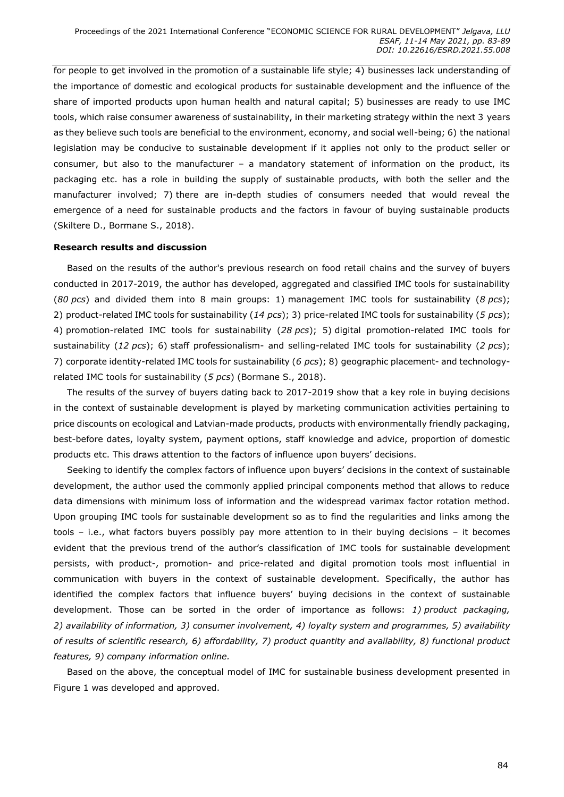for people to get involved in the promotion of a sustainable life style; 4) businesses lack understanding of the importance of domestic and ecological products for sustainable development and the influence of the share of imported products upon human health and natural capital; 5) businesses are ready to use IMC tools, which raise consumer awareness of sustainability, in their marketing strategy within the next 3 years as they believe such tools are beneficial to the environment, economy, and social well-being; 6) the national legislation may be conducive to sustainable development if it applies not only to the product seller or consumer, but also to the manufacturer – a mandatory statement of information on the product, its packaging etc. has a role in building the supply of sustainable products, with both the seller and the manufacturer involved; 7) there are in-depth studies of consumers needed that would reveal the emergence of a need for sustainable products and the factors in favour of buying sustainable products (Skiltere D., Bormane S., 2018).

## **Research results and discussion**

Based on the results of the author's previous research on food retail chains and the survey of buyers conducted in 2017-2019, the author has developed, aggregated and classified IMC tools for sustainability (*80 pcs*) and divided them into 8 main groups: 1) management IMC tools for sustainability (*8 pcs*); 2) product-related IMC tools for sustainability (*14 pcs*); 3) price-related IMC tools for sustainability (*5 pcs*); 4) promotion-related IMC tools for sustainability (*28 pcs*); 5) digital promotion-related IMC tools for sustainability (*12 pcs*); 6) staff professionalism- and selling-related IMC tools for sustainability (*2 pcs*); 7) corporate identity-related IMC tools for sustainability (*6 pcs*); 8) geographic placement- and technologyrelated IMC tools for sustainability (*5 pcs*) (Bormane S., 2018).

The results of the survey of buyers dating back to 2017-2019 show that a key role in buying decisions in the context of sustainable development is played by marketing communication activities pertaining to price discounts on ecological and Latvian-made products, products with environmentally friendly packaging, best-before dates, loyalty system, payment options, staff knowledge and advice, proportion of domestic products etc. This draws attention to the factors of influence upon buyers' decisions.

Seeking to identify the complex factors of influence upon buyers' decisions in the context of sustainable development, the author used the commonly applied principal components method that allows to reduce data dimensions with minimum loss of information and the widespread varimax factor rotation method. Upon grouping IMC tools for sustainable development so as to find the regularities and links among the tools – i.e., what factors buyers possibly pay more attention to in their buying decisions – it becomes evident that the previous trend of the author's classification of IMC tools for sustainable development persists, with product-, promotion- and price-related and digital promotion tools most influential in communication with buyers in the context of sustainable development. Specifically, the author has identified the complex factors that influence buyers' buying decisions in the context of sustainable development. Those can be sorted in the order of importance as follows: *1) product packaging, 2) availability of information, 3) consumer involvement, 4) loyalty system and programmes, 5) availability of results of scientific research, 6) affordability, 7) product quantity and availability, 8) functional product features, 9) company information online.*

Based on the above, the conceptual model of IMC for sustainable business development presented in Figure 1 was developed and approved.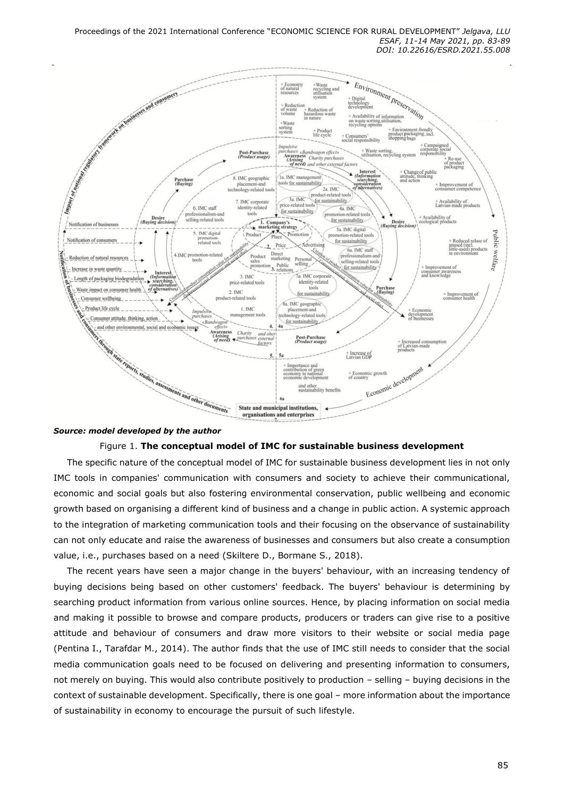Proceedings of the 2021 International Conference "ECONOMIC SCIENCE FOR RURAL DEVELOPMENT" *Jelgava, LLU ESAF, 11-14 May 2021, pp. [83](#page-0-0)[-89](#page-6-0) DOI: 10.22616/ESRD.2021.55.008*



### Figure 1. **The conceptual model of IMC for sustainable business development**

The specific nature of the conceptual model of IMC for sustainable business development lies in not only IMC tools in companies' communication with consumers and society to achieve their communicational, economic and social goals but also fostering environmental conservation, public wellbeing and economic growth based on organising a different kind of business and a change in public action. A systemic approach to the integration of marketing communication tools and their focusing on the observance of sustainability can not only educate and raise the awareness of businesses and consumers but also create a consumption value, i.e., purchases based on a need (Skiltere D., Bormane S., 2018).

The recent years have seen a major change in the buyers' behaviour, with an increasing tendency of buying decisions being based on other customers' feedback. The buyers' behaviour is determining by searching product information from various online sources. Hence, by placing information on social media and making it possible to browse and compare products, producers or traders can give rise to a positive attitude and behaviour of consumers and draw more visitors to their website or social media page (Pentina I., Tarafdar M., 2014). The author finds that the use of IMC still needs to consider that the social media communication goals need to be focused on delivering and presenting information to consumers, not merely on buying. This would also contribute positively to production – selling – buying decisions in the context of sustainable development. Specifically, there is one goal – more information about the importance of sustainability in economy to encourage the pursuit of such lifestyle.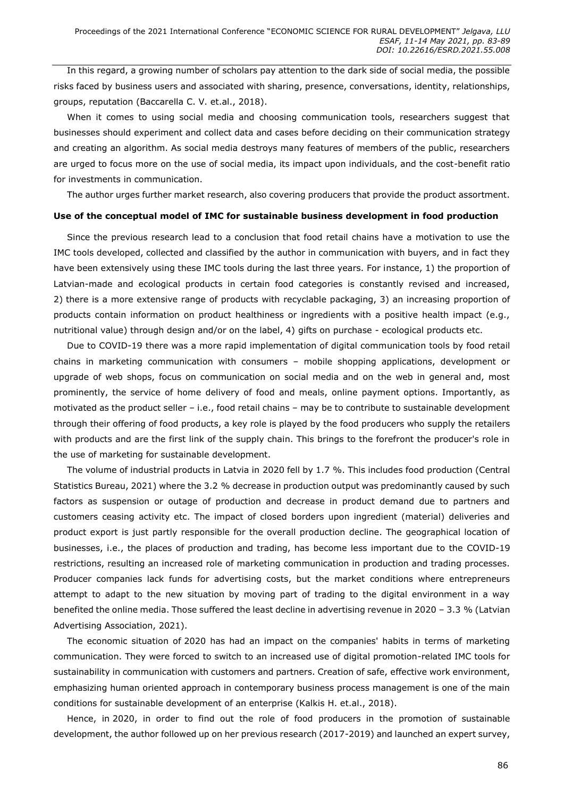In this regard, a growing number of scholars pay attention to the dark side of social media, the possible risks faced by business users and associated with sharing, presence, conversations, identity, relationships, groups, reputation (Baccarella C. V. et.al., 2018).

When it comes to using social media and choosing communication tools, researchers suggest that businesses should experiment and collect data and cases before deciding on their communication strategy and creating an algorithm. As social media destroys many features of members of the public, researchers are urged to focus more on the use of social media, its impact upon individuals, and the cost-benefit ratio for investments in communication.

The author urges further market research, also covering producers that provide the product assortment.

### **Use of the conceptual model of IMC for sustainable business development in food production**

Since the previous research lead to a conclusion that food retail chains have a motivation to use the IMC tools developed, collected and classified by the author in communication with buyers, and in fact they have been extensively using these IMC tools during the last three years. For instance, 1) the proportion of Latvian-made and ecological products in certain food categories is constantly revised and increased, 2) there is a more extensive range of products with recyclable packaging, 3) an increasing proportion of products contain information on product healthiness or ingredients with a positive health impact (e.g., nutritional value) through design and/or on the label, 4) gifts on purchase - ecological products etc.

Due to COVID-19 there was a more rapid implementation of digital communication tools by food retail chains in marketing communication with consumers – mobile shopping applications, development or upgrade of web shops, focus on communication on social media and on the web in general and, most prominently, the service of home delivery of food and meals, online payment options. Importantly, as motivated as the product seller – i.e., food retail chains – may be to contribute to sustainable development through their offering of food products, a key role is played by the food producers who supply the retailers with products and are the first link of the supply chain. This brings to the forefront the producer's role in the use of marketing for sustainable development.

The volume of industrial products in Latvia in 2020 fell by 1.7 %. This includes food production (Central Statistics Bureau, 2021) where the 3.2 % decrease in production output was predominantly caused by such factors as suspension or outage of production and decrease in product demand due to partners and customers ceasing activity etc. The impact of closed borders upon ingredient (material) deliveries and product export is just partly responsible for the overall production decline. The geographical location of businesses, i.e., the places of production and trading, has become less important due to the COVID-19 restrictions, resulting an increased role of marketing communication in production and trading processes. Producer companies lack funds for advertising costs, but the market conditions where entrepreneurs attempt to adapt to the new situation by moving part of trading to the digital environment in a way benefited the online media. Those suffered the least decline in advertising revenue in 2020 – 3.3 % (Latvian Advertising Association, 2021).

The economic situation of 2020 has had an impact on the companies' habits in terms of marketing communication. They were forced to switch to an increased use of digital promotion-related IMC tools for sustainability in communication with customers and partners. Creation of safe, effective work environment, emphasizing human oriented approach in contemporary business process management is one of the main conditions for sustainable development of an enterprise (Kalkis H. et.al., 2018).

Hence, in 2020, in order to find out the role of food producers in the promotion of sustainable development, the author followed up on her previous research (2017-2019) and launched an expert survey,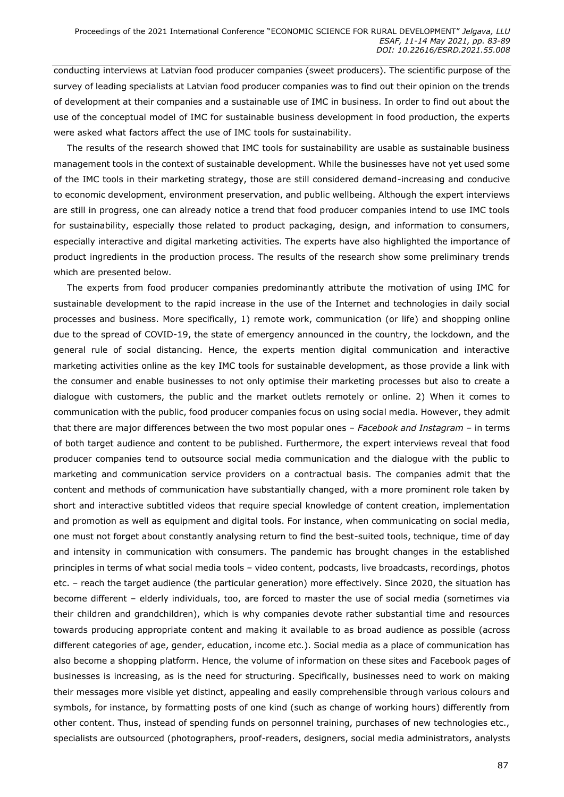conducting interviews at Latvian food producer companies (sweet producers). The scientific purpose of the survey of leading specialists at Latvian food producer companies was to find out their opinion on the trends of development at their companies and a sustainable use of IMC in business. In order to find out about the use of the conceptual model of IMC for sustainable business development in food production, the experts were asked what factors affect the use of IMC tools for sustainability.

The results of the research showed that IMC tools for sustainability are usable as sustainable business management tools in the context of sustainable development. While the businesses have not yet used some of the IMC tools in their marketing strategy, those are still considered demand-increasing and conducive to economic development, environment preservation, and public wellbeing. Although the expert interviews are still in progress, one can already notice a trend that food producer companies intend to use IMC tools for sustainability, especially those related to product packaging, design, and information to consumers, especially interactive and digital marketing activities. The experts have also highlighted the importance of product ingredients in the production process. The results of the research show some preliminary trends which are presented below.

The experts from food producer companies predominantly attribute the motivation of using IMC for sustainable development to the rapid increase in the use of the Internet and technologies in daily social processes and business. More specifically, 1) remote work, communication (or life) and shopping online due to the spread of COVID-19, the state of emergency announced in the country, the lockdown, and the general rule of social distancing. Hence, the experts mention digital communication and interactive marketing activities online as the key IMC tools for sustainable development, as those provide a link with the consumer and enable businesses to not only optimise their marketing processes but also to create a dialogue with customers, the public and the market outlets remotely or online. 2) When it comes to communication with the public, food producer companies focus on using social media. However, they admit that there are major differences between the two most popular ones – *Facebook and Instagram* – in terms of both target audience and content to be published. Furthermore, the expert interviews reveal that food producer companies tend to outsource social media communication and the dialogue with the public to marketing and communication service providers on a contractual basis. The companies admit that the content and methods of communication have substantially changed, with a more prominent role taken by short and interactive subtitled videos that require special knowledge of content creation, implementation and promotion as well as equipment and digital tools. For instance, when communicating on social media, one must not forget about constantly analysing return to find the best-suited tools, technique, time of day and intensity in communication with consumers. The pandemic has brought changes in the established principles in terms of what social media tools – video content, podcasts, live broadcasts, recordings, photos etc. – reach the target audience (the particular generation) more effectively. Since 2020, the situation has become different – elderly individuals, too, are forced to master the use of social media (sometimes via their children and grandchildren), which is why companies devote rather substantial time and resources towards producing appropriate content and making it available to as broad audience as possible (across different categories of age, gender, education, income etc.). Social media as a place of communication has also become a shopping platform. Hence, the volume of information on these sites and Facebook pages of businesses is increasing, as is the need for structuring. Specifically, businesses need to work on making their messages more visible yet distinct, appealing and easily comprehensible through various colours and symbols, for instance, by formatting posts of one kind (such as change of working hours) differently from other content. Thus, instead of spending funds on personnel training, purchases of new technologies etc., specialists are outsourced (photographers, proof-readers, designers, social media administrators, analysts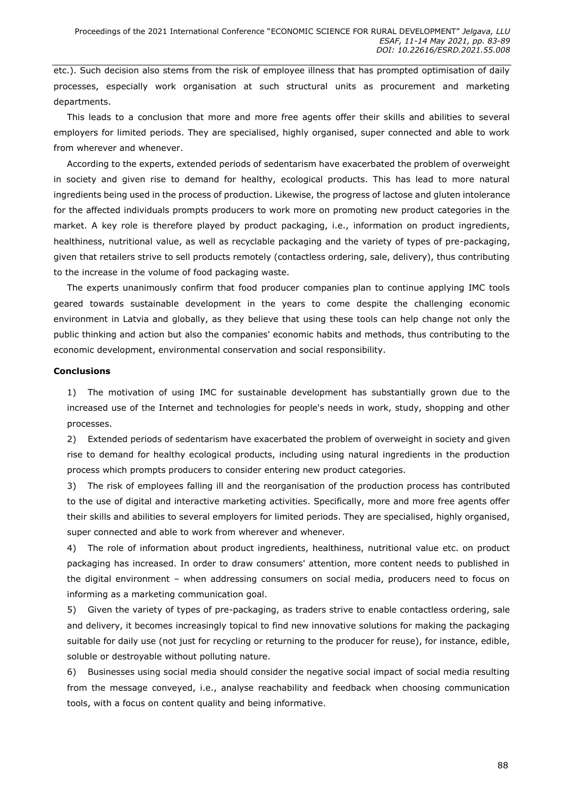etc.). Such decision also stems from the risk of employee illness that has prompted optimisation of daily processes, especially work organisation at such structural units as procurement and marketing departments.

This leads to a conclusion that more and more free agents offer their skills and abilities to several employers for limited periods. They are specialised, highly organised, super connected and able to work from wherever and whenever.

According to the experts, extended periods of sedentarism have exacerbated the problem of overweight in society and given rise to demand for healthy, ecological products. This has lead to more natural ingredients being used in the process of production. Likewise, the progress of lactose and gluten intolerance for the affected individuals prompts producers to work more on promoting new product categories in the market. A key role is therefore played by product packaging, i.e., information on product ingredients, healthiness, nutritional value, as well as recyclable packaging and the variety of types of pre-packaging, given that retailers strive to sell products remotely (contactless ordering, sale, delivery), thus contributing to the increase in the volume of food packaging waste.

The experts unanimously confirm that food producer companies plan to continue applying IMC tools geared towards sustainable development in the years to come despite the challenging economic environment in Latvia and globally, as they believe that using these tools can help change not only the public thinking and action but also the companies' economic habits and methods, thus contributing to the economic development, environmental conservation and social responsibility.

## **Conclusions**

1) The motivation of using IMC for sustainable development has substantially grown due to the increased use of the Internet and technologies for people's needs in work, study, shopping and other processes.

2) Extended periods of sedentarism have exacerbated the problem of overweight in society and given rise to demand for healthy ecological products, including using natural ingredients in the production process which prompts producers to consider entering new product categories.

3) The risk of employees falling ill and the reorganisation of the production process has contributed to the use of digital and interactive marketing activities. Specifically, more and more free agents offer their skills and abilities to several employers for limited periods. They are specialised, highly organised, super connected and able to work from wherever and whenever.

4) The role of information about product ingredients, healthiness, nutritional value etc. on product packaging has increased. In order to draw consumers' attention, more content needs to published in the digital environment – when addressing consumers on social media, producers need to focus on informing as a marketing communication goal.

5) Given the variety of types of pre-packaging, as traders strive to enable contactless ordering, sale and delivery, it becomes increasingly topical to find new innovative solutions for making the packaging suitable for daily use (not just for recycling or returning to the producer for reuse), for instance, edible, soluble or destroyable without polluting nature.

6) Businesses using social media should consider the negative social impact of social media resulting from the message conveyed, i.e., analyse reachability and feedback when choosing communication tools, with a focus on content quality and being informative.